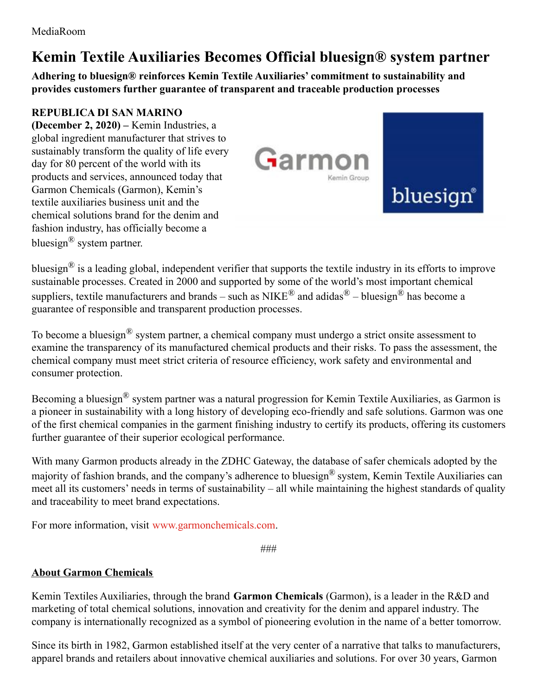## **Kemin Textile Auxiliaries Becomes Official bluesign® system partner**

**Adhering to bluesign® reinforces Kemin Textile Auxiliaries' commitment to sustainability and provides customers further guarantee of transparent and traceable production processes**

## **REPUBLICA DI SAN MARINO**

**(December 2, 2020) –** Kemin Industries, a global ingredient manufacturer that strives to sustainably transform the quality of life every day for 80 percent of the world with its products and services, announced today that Garmon Chemicals (Garmon), Kemin's textile auxiliaries business unit and the chemical solutions brand for the denim and fashion industry, has officially become a bluesign<sup>®</sup> system partner.



bluesign® is a leading global, independent verifier that supports the textile industry in its efforts to improve sustainable processes. Created in 2000 and supported by some of the world's most important chemical suppliers, textile manufacturers and brands – such as NIKE<sup>®</sup> and adidas<sup>®</sup> – bluesign<sup>®</sup> has become a guarantee of responsible and transparent production processes.

To become a bluesign<sup>®</sup> system partner, a chemical company must undergo a strict onsite assessment to examine the transparency of its manufactured chemical products and their risks. To pass the assessment, the chemical company must meet strict criteria of resource efficiency, work safety and environmental and consumer protection.

Becoming a bluesign® system partner was a natural progression for Kemin Textile Auxiliaries, as Garmon is a pioneer in sustainability with a long history of developing eco-friendly and safe solutions. Garmon was one of the first chemical companies in the garment finishing industry to certify its products, offering its customers further guarantee of their superior ecological performance.

With many Garmon products already in the ZDHC Gateway, the database of safer chemicals adopted by the majority of fashion brands, and the company's adherence to bluesign® system, Kemin Textile Auxiliaries can meet all its customers' needs in terms of sustainability – all while maintaining the highest standards of quality and traceability to meet brand expectations.

For more information, visit [www.garmonchemicals.com](https://www.garmonchemicals.com/en/home).

###

## **About Garmon Chemicals**

Kemin Textiles Auxiliaries, through the brand **Garmon Chemicals** (Garmon), is a leader in the R&D and marketing of total chemical solutions, innovation and creativity for the denim and apparel industry. The company is internationally recognized as a symbol of pioneering evolution in the name of a better tomorrow.

Since its birth in 1982, Garmon established itself at the very center of a narrative that talks to manufacturers, apparel brands and retailers about innovative chemical auxiliaries and solutions. For over 30 years, Garmon